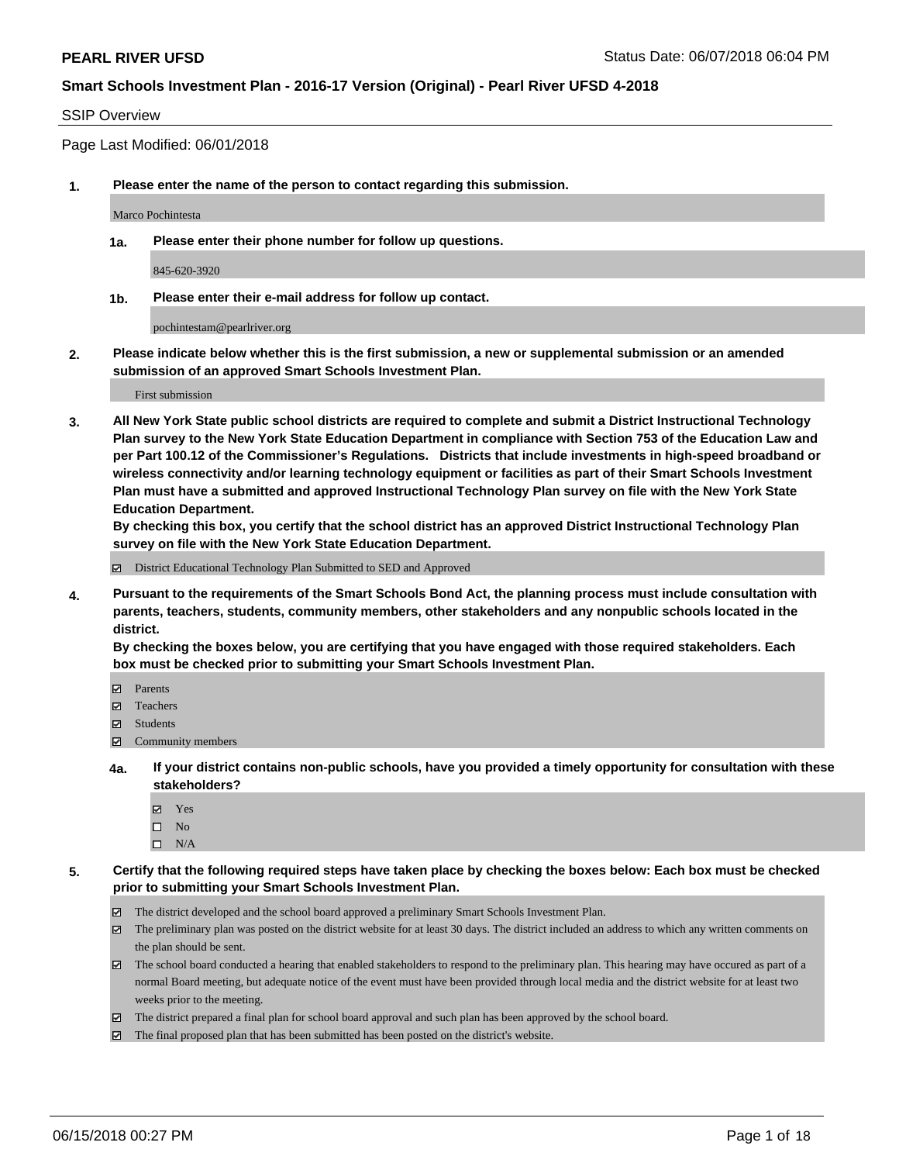### SSIP Overview

Page Last Modified: 06/01/2018

**1. Please enter the name of the person to contact regarding this submission.**

Marco Pochintesta

**1a. Please enter their phone number for follow up questions.**

845-620-3920

**1b. Please enter their e-mail address for follow up contact.**

pochintestam@pearlriver.org

**2. Please indicate below whether this is the first submission, a new or supplemental submission or an amended submission of an approved Smart Schools Investment Plan.**

First submission

**3. All New York State public school districts are required to complete and submit a District Instructional Technology Plan survey to the New York State Education Department in compliance with Section 753 of the Education Law and per Part 100.12 of the Commissioner's Regulations. Districts that include investments in high-speed broadband or wireless connectivity and/or learning technology equipment or facilities as part of their Smart Schools Investment Plan must have a submitted and approved Instructional Technology Plan survey on file with the New York State Education Department.** 

**By checking this box, you certify that the school district has an approved District Instructional Technology Plan survey on file with the New York State Education Department.**

District Educational Technology Plan Submitted to SED and Approved

**4. Pursuant to the requirements of the Smart Schools Bond Act, the planning process must include consultation with parents, teachers, students, community members, other stakeholders and any nonpublic schools located in the district.** 

**By checking the boxes below, you are certifying that you have engaged with those required stakeholders. Each box must be checked prior to submitting your Smart Schools Investment Plan.**

- Parents
- Teachers
- Students
- $\Xi$  Community members
- **4a. If your district contains non-public schools, have you provided a timely opportunity for consultation with these stakeholders?**
	- Yes
	- $\square$  No
	- $\square$  N/A
- **5. Certify that the following required steps have taken place by checking the boxes below: Each box must be checked prior to submitting your Smart Schools Investment Plan.**
	- The district developed and the school board approved a preliminary Smart Schools Investment Plan.
	- $\boxtimes$  The preliminary plan was posted on the district website for at least 30 days. The district included an address to which any written comments on the plan should be sent.
	- $\boxtimes$  The school board conducted a hearing that enabled stakeholders to respond to the preliminary plan. This hearing may have occured as part of a normal Board meeting, but adequate notice of the event must have been provided through local media and the district website for at least two weeks prior to the meeting.
	- The district prepared a final plan for school board approval and such plan has been approved by the school board.
	- $\boxtimes$  The final proposed plan that has been submitted has been posted on the district's website.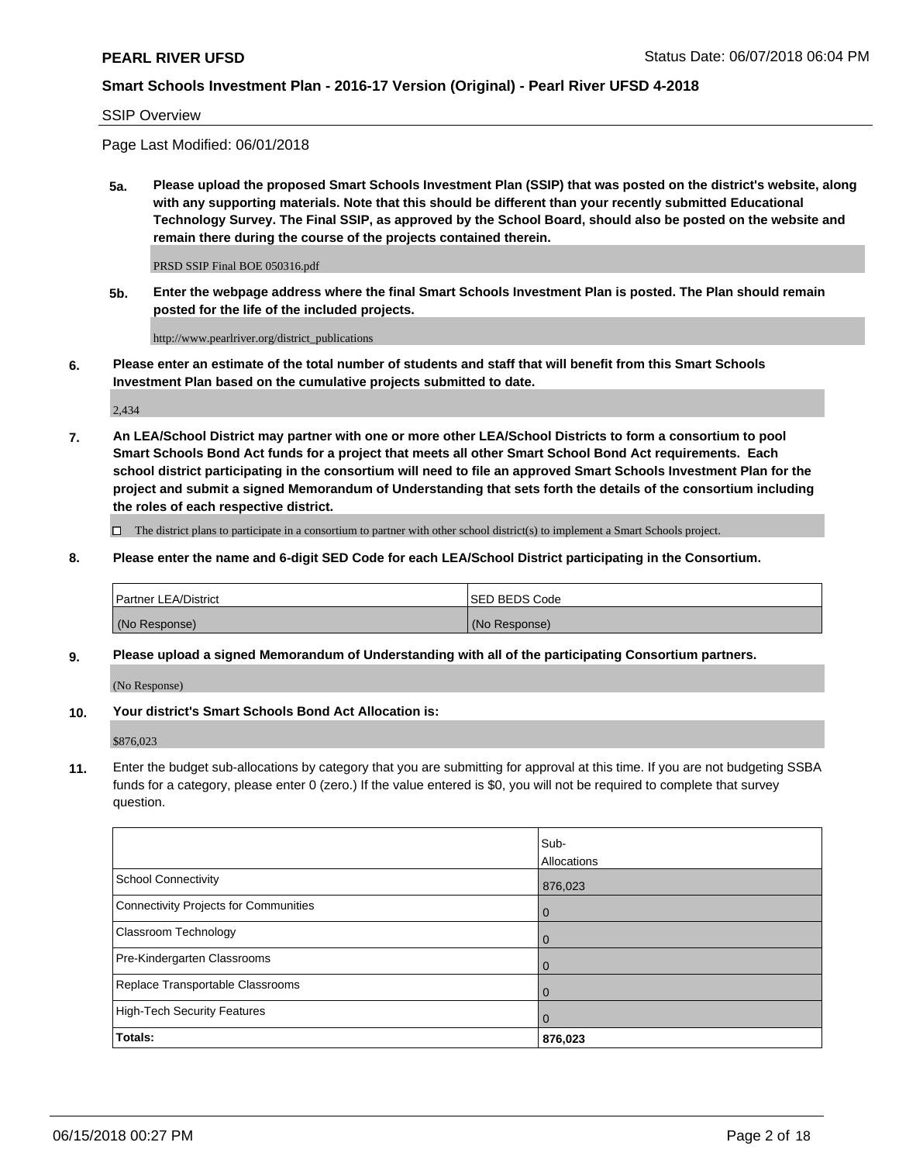#### SSIP Overview

Page Last Modified: 06/01/2018

**5a. Please upload the proposed Smart Schools Investment Plan (SSIP) that was posted on the district's website, along with any supporting materials. Note that this should be different than your recently submitted Educational Technology Survey. The Final SSIP, as approved by the School Board, should also be posted on the website and remain there during the course of the projects contained therein.**

PRSD SSIP Final BOE 050316.pdf

**5b. Enter the webpage address where the final Smart Schools Investment Plan is posted. The Plan should remain posted for the life of the included projects.**

http://www.pearlriver.org/district\_publications

**6. Please enter an estimate of the total number of students and staff that will benefit from this Smart Schools Investment Plan based on the cumulative projects submitted to date.**

2,434

**7. An LEA/School District may partner with one or more other LEA/School Districts to form a consortium to pool Smart Schools Bond Act funds for a project that meets all other Smart School Bond Act requirements. Each school district participating in the consortium will need to file an approved Smart Schools Investment Plan for the project and submit a signed Memorandum of Understanding that sets forth the details of the consortium including the roles of each respective district.**

 $\Box$  The district plans to participate in a consortium to partner with other school district(s) to implement a Smart Schools project.

**8. Please enter the name and 6-digit SED Code for each LEA/School District participating in the Consortium.**

| <b>Partner LEA/District</b> | <b>ISED BEDS Code</b> |
|-----------------------------|-----------------------|
| (No Response)               | (No Response)         |

#### **9. Please upload a signed Memorandum of Understanding with all of the participating Consortium partners.**

(No Response)

**10. Your district's Smart Schools Bond Act Allocation is:**

\$876,023

**11.** Enter the budget sub-allocations by category that you are submitting for approval at this time. If you are not budgeting SSBA funds for a category, please enter 0 (zero.) If the value entered is \$0, you will not be required to complete that survey question.

|                                       | Sub-<br>Allocations |
|---------------------------------------|---------------------|
| <b>School Connectivity</b>            | 876,023             |
| Connectivity Projects for Communities | $\overline{0}$      |
| Classroom Technology                  | $\overline{0}$      |
| Pre-Kindergarten Classrooms           | $\overline{0}$      |
| Replace Transportable Classrooms      | 0                   |
| <b>High-Tech Security Features</b>    | $\overline{0}$      |
| Totals:                               | 876,023             |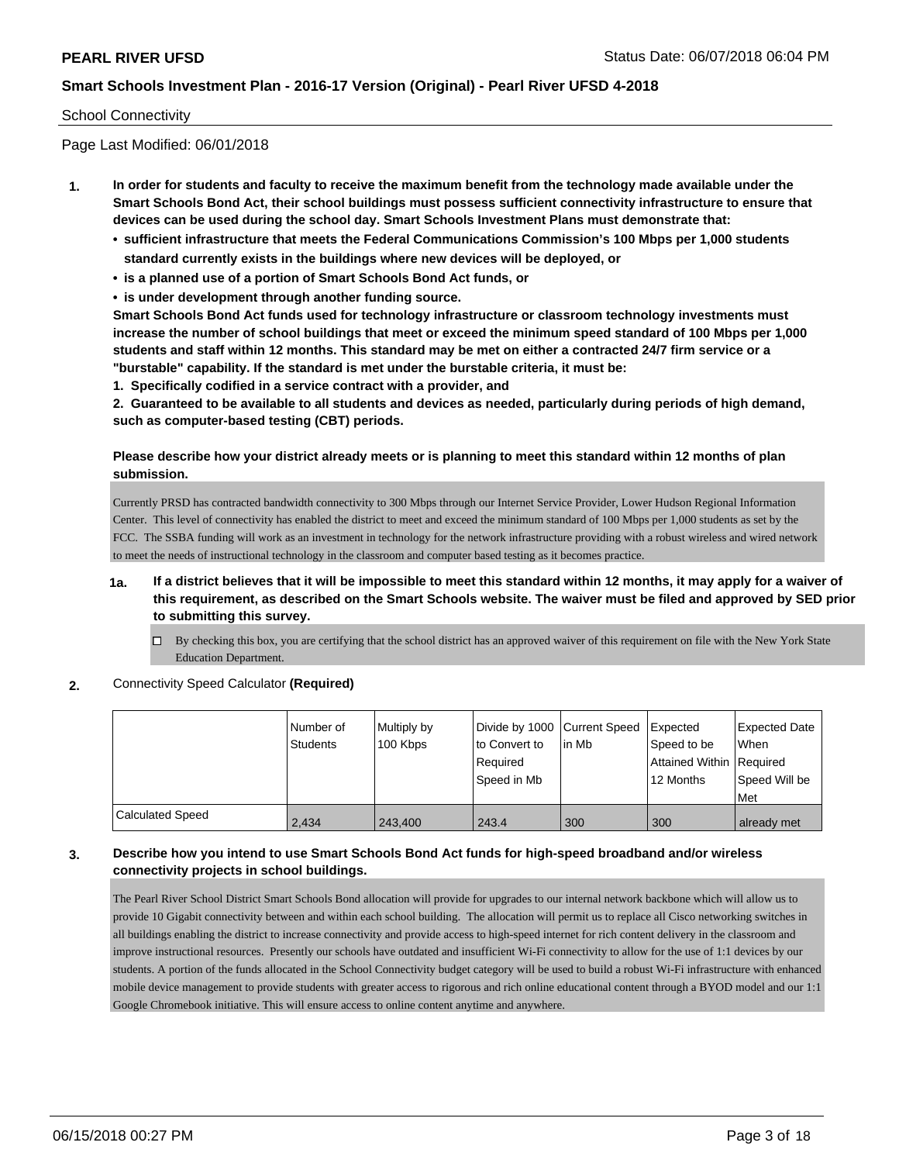### School Connectivity

Page Last Modified: 06/01/2018

- **1. In order for students and faculty to receive the maximum benefit from the technology made available under the Smart Schools Bond Act, their school buildings must possess sufficient connectivity infrastructure to ensure that devices can be used during the school day. Smart Schools Investment Plans must demonstrate that:**
	- **• sufficient infrastructure that meets the Federal Communications Commission's 100 Mbps per 1,000 students standard currently exists in the buildings where new devices will be deployed, or**
	- **• is a planned use of a portion of Smart Schools Bond Act funds, or**
	- **• is under development through another funding source.**

**Smart Schools Bond Act funds used for technology infrastructure or classroom technology investments must increase the number of school buildings that meet or exceed the minimum speed standard of 100 Mbps per 1,000 students and staff within 12 months. This standard may be met on either a contracted 24/7 firm service or a "burstable" capability. If the standard is met under the burstable criteria, it must be:**

**1. Specifically codified in a service contract with a provider, and**

**2. Guaranteed to be available to all students and devices as needed, particularly during periods of high demand, such as computer-based testing (CBT) periods.**

### **Please describe how your district already meets or is planning to meet this standard within 12 months of plan submission.**

Currently PRSD has contracted bandwidth connectivity to 300 Mbps through our Internet Service Provider, Lower Hudson Regional Information Center. This level of connectivity has enabled the district to meet and exceed the minimum standard of 100 Mbps per 1,000 students as set by the FCC. The SSBA funding will work as an investment in technology for the network infrastructure providing with a robust wireless and wired network to meet the needs of instructional technology in the classroom and computer based testing as it becomes practice.

- **1a. If a district believes that it will be impossible to meet this standard within 12 months, it may apply for a waiver of this requirement, as described on the Smart Schools website. The waiver must be filed and approved by SED prior to submitting this survey.**
	- $\Box$  By checking this box, you are certifying that the school district has an approved waiver of this requirement on file with the New York State Education Department.
- **2.** Connectivity Speed Calculator **(Required)**

|                         | l Number of<br><b>Students</b> | Multiply by<br>100 Kbps | Divide by 1000 Current Speed<br>to Convert to<br>Required<br>Speed in Mb | in Mb | <b>Expected</b><br>Speed to be<br>Attained Within Required<br>12 Months | <b>Expected Date</b><br><b>When</b><br>Speed Will be<br>Met |
|-------------------------|--------------------------------|-------------------------|--------------------------------------------------------------------------|-------|-------------------------------------------------------------------------|-------------------------------------------------------------|
| <b>Calculated Speed</b> | 2.434                          | 243.400                 | 243.4                                                                    | 300   | 300                                                                     | already met                                                 |

### **3. Describe how you intend to use Smart Schools Bond Act funds for high-speed broadband and/or wireless connectivity projects in school buildings.**

The Pearl River School District Smart Schools Bond allocation will provide for upgrades to our internal network backbone which will allow us to provide 10 Gigabit connectivity between and within each school building. The allocation will permit us to replace all Cisco networking switches in all buildings enabling the district to increase connectivity and provide access to high-speed internet for rich content delivery in the classroom and improve instructional resources. Presently our schools have outdated and insufficient Wi-Fi connectivity to allow for the use of 1:1 devices by our students. A portion of the funds allocated in the School Connectivity budget category will be used to build a robust Wi-Fi infrastructure with enhanced mobile device management to provide students with greater access to rigorous and rich online educational content through a BYOD model and our 1:1 Google Chromebook initiative. This will ensure access to online content anytime and anywhere.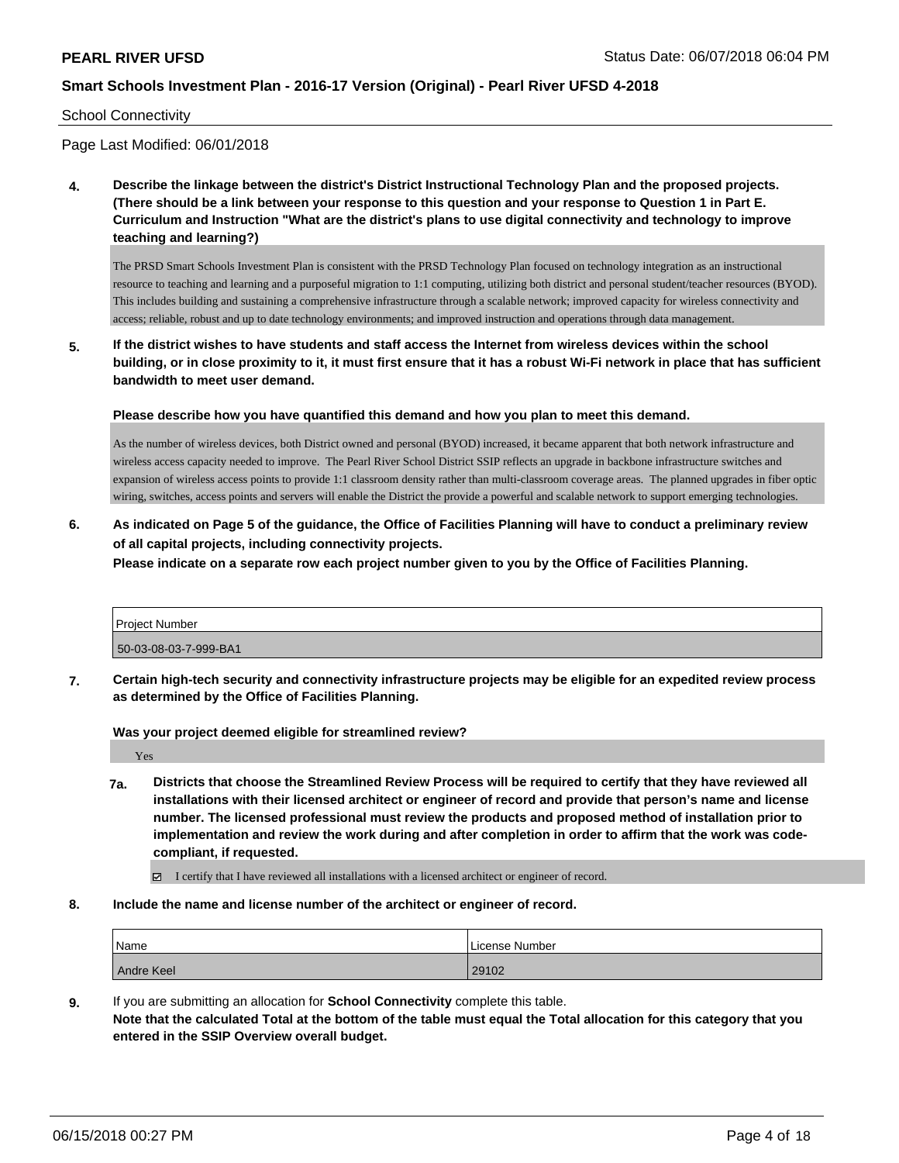#### School Connectivity

Page Last Modified: 06/01/2018

**4. Describe the linkage between the district's District Instructional Technology Plan and the proposed projects. (There should be a link between your response to this question and your response to Question 1 in Part E. Curriculum and Instruction "What are the district's plans to use digital connectivity and technology to improve teaching and learning?)**

The PRSD Smart Schools Investment Plan is consistent with the PRSD Technology Plan focused on technology integration as an instructional resource to teaching and learning and a purposeful migration to 1:1 computing, utilizing both district and personal student/teacher resources (BYOD). This includes building and sustaining a comprehensive infrastructure through a scalable network; improved capacity for wireless connectivity and access; reliable, robust and up to date technology environments; and improved instruction and operations through data management.

**5. If the district wishes to have students and staff access the Internet from wireless devices within the school building, or in close proximity to it, it must first ensure that it has a robust Wi-Fi network in place that has sufficient bandwidth to meet user demand.**

**Please describe how you have quantified this demand and how you plan to meet this demand.**

As the number of wireless devices, both District owned and personal (BYOD) increased, it became apparent that both network infrastructure and wireless access capacity needed to improve. The Pearl River School District SSIP reflects an upgrade in backbone infrastructure switches and expansion of wireless access points to provide 1:1 classroom density rather than multi-classroom coverage areas. The planned upgrades in fiber optic wiring, switches, access points and servers will enable the District the provide a powerful and scalable network to support emerging technologies.

**6. As indicated on Page 5 of the guidance, the Office of Facilities Planning will have to conduct a preliminary review of all capital projects, including connectivity projects.**

**Please indicate on a separate row each project number given to you by the Office of Facilities Planning.**

| <b>Project Number</b> |  |
|-----------------------|--|
| 50-03-08-03-7-999-BA1 |  |

**7. Certain high-tech security and connectivity infrastructure projects may be eligible for an expedited review process as determined by the Office of Facilities Planning.**

**Was your project deemed eligible for streamlined review?**

Yes

- **7a. Districts that choose the Streamlined Review Process will be required to certify that they have reviewed all installations with their licensed architect or engineer of record and provide that person's name and license number. The licensed professional must review the products and proposed method of installation prior to implementation and review the work during and after completion in order to affirm that the work was codecompliant, if requested.**
	- I certify that I have reviewed all installations with a licensed architect or engineer of record.
- **8. Include the name and license number of the architect or engineer of record.**

| Name       | License Number |
|------------|----------------|
| Andre Keel | 29102          |

**9.** If you are submitting an allocation for **School Connectivity** complete this table. **Note that the calculated Total at the bottom of the table must equal the Total allocation for this category that you entered in the SSIP Overview overall budget.**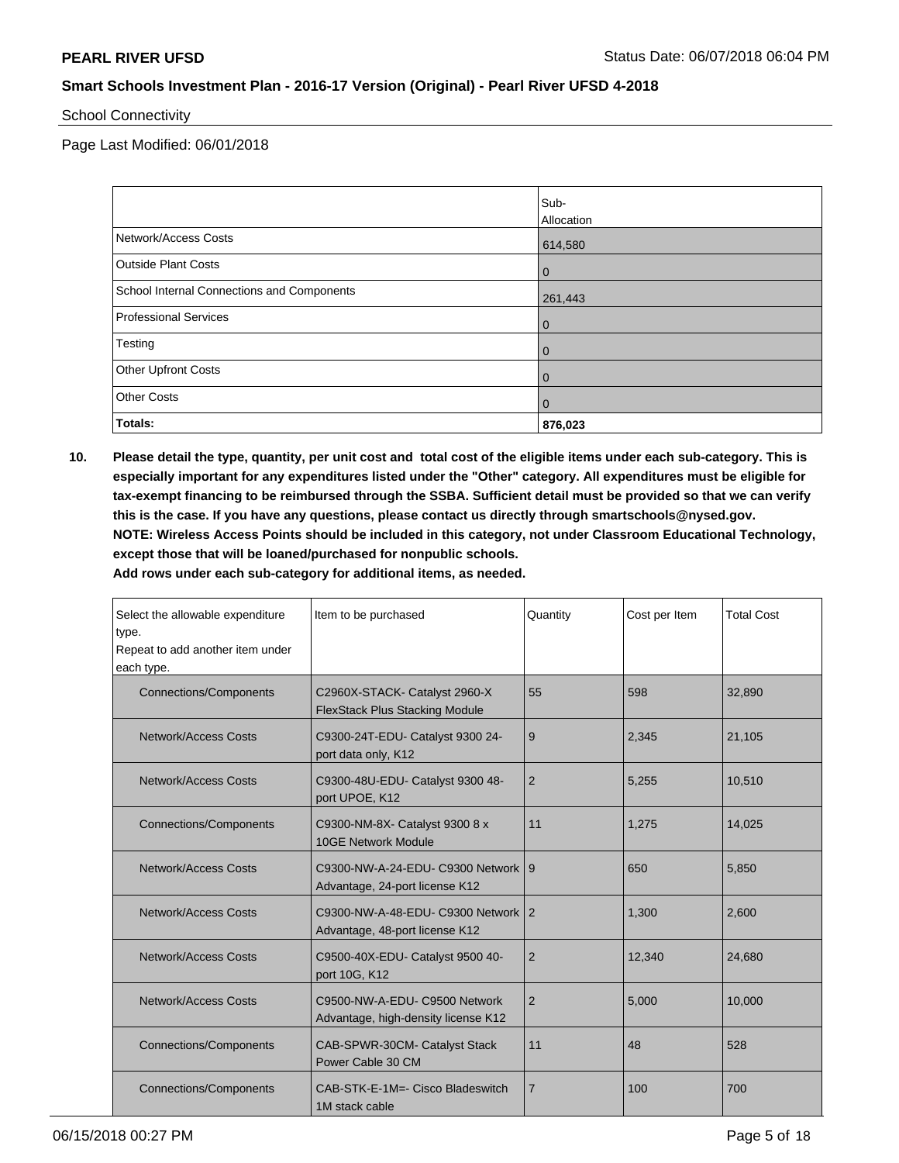### School Connectivity

Page Last Modified: 06/01/2018

|                                            | Sub-         |
|--------------------------------------------|--------------|
|                                            | Allocation   |
| Network/Access Costs                       | 614,580      |
| <b>Outside Plant Costs</b>                 | $\mathbf 0$  |
| School Internal Connections and Components | 261,443      |
| <b>Professional Services</b>               | $\mathbf 0$  |
| Testing                                    | $\mathbf{0}$ |
| <b>Other Upfront Costs</b>                 | $\mathbf 0$  |
| <b>Other Costs</b>                         | $\Omega$     |
| Totals:                                    | 876,023      |

**10. Please detail the type, quantity, per unit cost and total cost of the eligible items under each sub-category. This is especially important for any expenditures listed under the "Other" category. All expenditures must be eligible for tax-exempt financing to be reimbursed through the SSBA. Sufficient detail must be provided so that we can verify this is the case. If you have any questions, please contact us directly through smartschools@nysed.gov. NOTE: Wireless Access Points should be included in this category, not under Classroom Educational Technology, except those that will be loaned/purchased for nonpublic schools.**

| Select the allowable expenditure<br>type.<br>Repeat to add another item under<br>each type. | Item to be purchased                                                   | Quantity       | Cost per Item | <b>Total Cost</b> |
|---------------------------------------------------------------------------------------------|------------------------------------------------------------------------|----------------|---------------|-------------------|
| <b>Connections/Components</b>                                                               | C2960X-STACK- Catalyst 2960-X<br><b>FlexStack Plus Stacking Module</b> | 55             | 598           | 32,890            |
| Network/Access Costs                                                                        | C9300-24T-EDU- Catalyst 9300 24-<br>port data only, K12                | 9              | 2,345         | 21,105            |
| <b>Network/Access Costs</b>                                                                 | C9300-48U-EDU- Catalyst 9300 48-<br>port UPOE, K12                     | $\overline{2}$ | 5.255         | 10,510            |
| <b>Connections/Components</b>                                                               | C9300-NM-8X- Catalyst 9300 8 x<br>10GE Network Module                  | 11             | 1.275         | 14,025            |
| Network/Access Costs                                                                        | C9300-NW-A-24-EDU- C9300 Network 9<br>Advantage, 24-port license K12   |                | 650           | 5,850             |
| <b>Network/Access Costs</b>                                                                 | C9300-NW-A-48-EDU- C9300 Network 2<br>Advantage, 48-port license K12   |                | 1.300         | 2,600             |
| Network/Access Costs                                                                        | C9500-40X-EDU- Catalyst 9500 40-<br>port 10G, K12                      | 2              | 12,340        | 24,680            |
| Network/Access Costs                                                                        | C9500-NW-A-EDU- C9500 Network<br>Advantage, high-density license K12   | $\overline{2}$ | 5,000         | 10,000            |
| <b>Connections/Components</b>                                                               | CAB-SPWR-30CM- Catalyst Stack<br>Power Cable 30 CM                     | 11             | 48            | 528               |
| <b>Connections/Components</b>                                                               | CAB-STK-E-1M=- Cisco Bladeswitch<br>1M stack cable                     | 7              | 100           | 700               |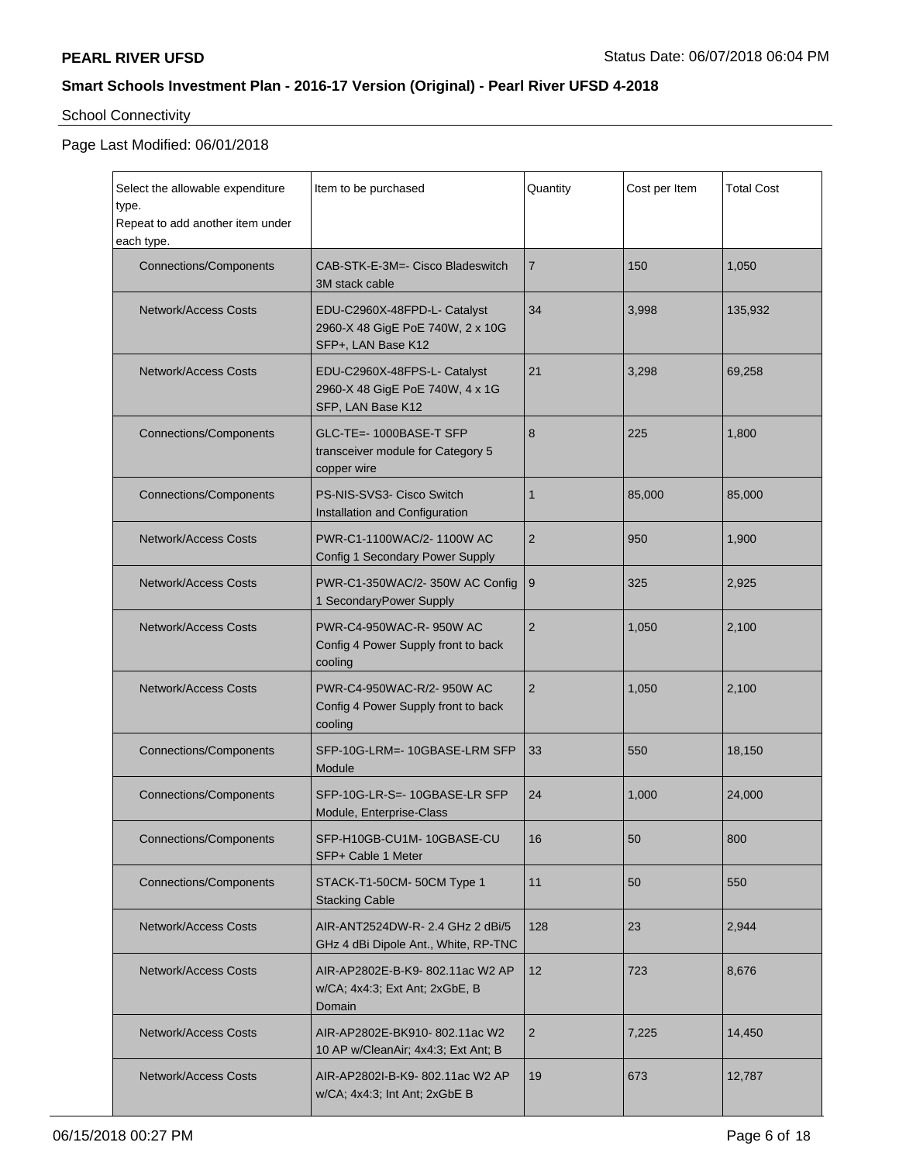# School Connectivity

## Page Last Modified: 06/01/2018

| Select the allowable expenditure<br>type.<br>Repeat to add another item under<br>each type. | Item to be purchased                                                                   | Quantity       | Cost per Item | <b>Total Cost</b> |
|---------------------------------------------------------------------------------------------|----------------------------------------------------------------------------------------|----------------|---------------|-------------------|
| <b>Connections/Components</b>                                                               | CAB-STK-E-3M=- Cisco Bladeswitch<br>3M stack cable                                     | $\overline{7}$ | 150           | 1.050             |
| <b>Network/Access Costs</b>                                                                 | EDU-C2960X-48FPD-L- Catalyst<br>2960-X 48 GigE PoE 740W, 2 x 10G<br>SFP+, LAN Base K12 | 34             | 3,998         | 135,932           |
| <b>Network/Access Costs</b>                                                                 | EDU-C2960X-48FPS-L- Catalyst<br>2960-X 48 GigE PoE 740W, 4 x 1G<br>SFP, LAN Base K12   | 21             | 3,298         | 69.258            |
| <b>Connections/Components</b>                                                               | GLC-TE=- 1000BASE-T SFP<br>transceiver module for Category 5<br>copper wire            | 8              | 225           | 1,800             |
| <b>Connections/Components</b>                                                               | PS-NIS-SVS3- Cisco Switch<br>Installation and Configuration                            | $\mathbf{1}$   | 85,000        | 85,000            |
| Network/Access Costs                                                                        | PWR-C1-1100WAC/2-1100W AC<br>Config 1 Secondary Power Supply                           | $\overline{2}$ | 950           | 1,900             |
| <b>Network/Access Costs</b>                                                                 | PWR-C1-350WAC/2-350W AC Config<br>1 SecondaryPower Supply                              | 9              | 325           | 2,925             |
| <b>Network/Access Costs</b>                                                                 | PWR-C4-950WAC-R-950W AC<br>Config 4 Power Supply front to back<br>cooling              | $\overline{2}$ | 1,050         | 2,100             |
| <b>Network/Access Costs</b>                                                                 | PWR-C4-950WAC-R/2-950W AC<br>Config 4 Power Supply front to back<br>cooling            | $\overline{2}$ | 1,050         | 2,100             |
| <b>Connections/Components</b>                                                               | SFP-10G-LRM=- 10GBASE-LRM SFP<br>Module                                                | 33             | 550           | 18,150            |
| <b>Connections/Components</b>                                                               | SFP-10G-LR-S=- 10GBASE-LR SFP<br>Module, Enterprise-Class                              | 24             | 1,000         | 24,000            |
| Connections/Components                                                                      | SFP-H10GB-CU1M-10GBASE-CU<br>SFP+ Cable 1 Meter                                        | 16             | 50            | 800               |
| <b>Connections/Components</b>                                                               | STACK-T1-50CM-50CM Type 1<br><b>Stacking Cable</b>                                     | 11             | 50            | 550               |
| <b>Network/Access Costs</b>                                                                 | AIR-ANT2524DW-R-2.4 GHz 2 dBi/5<br>GHz 4 dBi Dipole Ant., White, RP-TNC                | 128            | 23            | 2,944             |
| Network/Access Costs                                                                        | AIR-AP2802E-B-K9-802.11ac W2 AP<br>w/CA; 4x4:3; Ext Ant; 2xGbE, B<br>Domain            | 12             | 723           | 8,676             |
| <b>Network/Access Costs</b>                                                                 | AIR-AP2802E-BK910-802.11ac W2<br>10 AP w/CleanAir; 4x4:3; Ext Ant; B                   | $\overline{2}$ | 7,225         | 14,450            |
| <b>Network/Access Costs</b>                                                                 | AIR-AP2802I-B-K9-802.11ac W2 AP<br>w/CA; 4x4:3; Int Ant; 2xGbE B                       | 19             | 673           | 12,787            |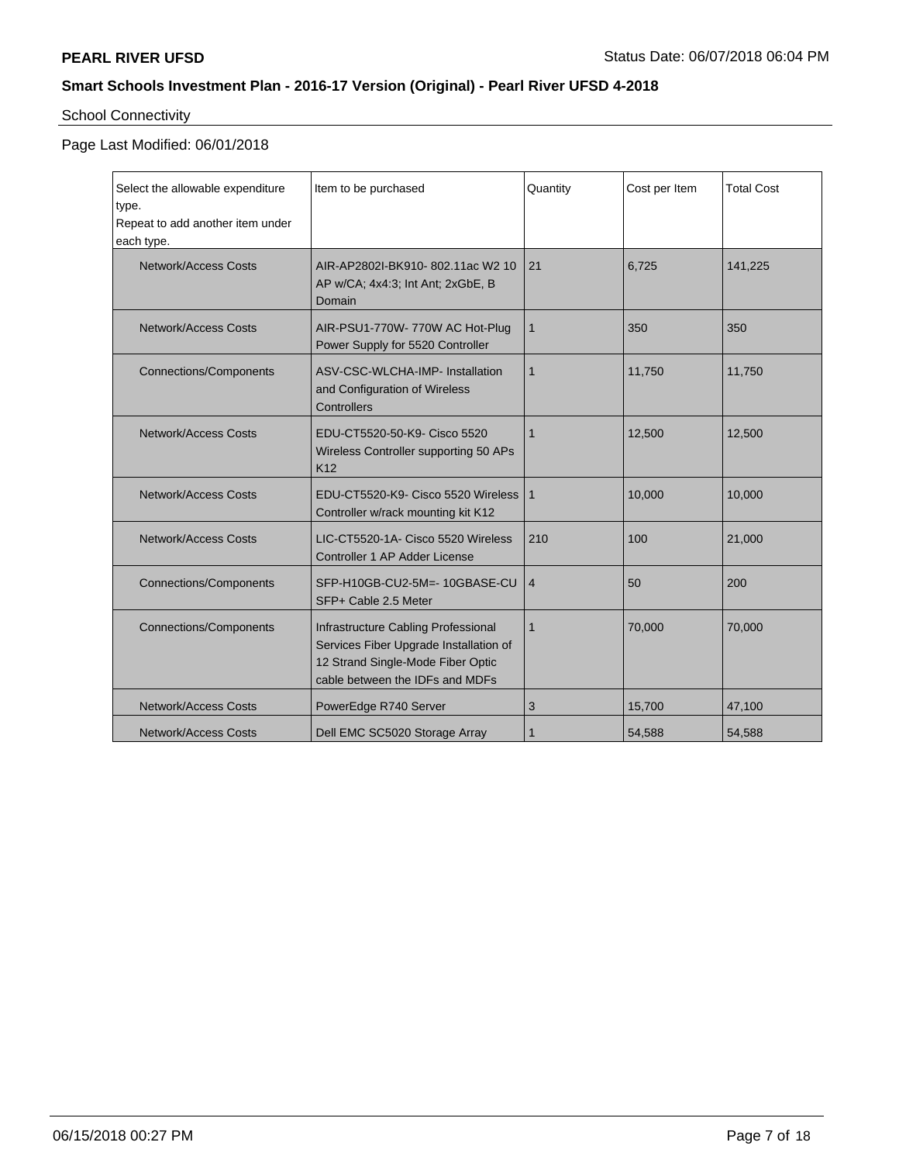# School Connectivity

## Page Last Modified: 06/01/2018

| Select the allowable expenditure<br>type.<br>Repeat to add another item under<br>each type. | Item to be purchased                                                                                                                                  | Quantity       | Cost per Item | <b>Total Cost</b> |
|---------------------------------------------------------------------------------------------|-------------------------------------------------------------------------------------------------------------------------------------------------------|----------------|---------------|-------------------|
| Network/Access Costs                                                                        | AIR-AP2802I-BK910-802.11ac W2 10<br>AP w/CA; 4x4:3; Int Ant; 2xGbE, B<br>Domain                                                                       | 21             | 6,725         | 141,225           |
| <b>Network/Access Costs</b>                                                                 | AIR-PSU1-770W-770W AC Hot-Plug<br>Power Supply for 5520 Controller                                                                                    | $\mathbf{1}$   | 350           | 350               |
| <b>Connections/Components</b>                                                               | ASV-CSC-WLCHA-IMP- Installation<br>and Configuration of Wireless<br>Controllers                                                                       | 1              | 11,750        | 11,750            |
| Network/Access Costs                                                                        | EDU-CT5520-50-K9- Cisco 5520<br>Wireless Controller supporting 50 APs<br>K <sub>12</sub>                                                              | 1              | 12,500        | 12,500            |
| <b>Network/Access Costs</b>                                                                 | EDU-CT5520-K9- Cisco 5520 Wireless<br>Controller w/rack mounting kit K12                                                                              | 1              | 10,000        | 10,000            |
| Network/Access Costs                                                                        | LIC-CT5520-1A- Cisco 5520 Wireless<br>Controller 1 AP Adder License                                                                                   | 210            | 100           | 21,000            |
| <b>Connections/Components</b>                                                               | SFP-H10GB-CU2-5M=- 10GBASE-CU<br>SFP+ Cable 2.5 Meter                                                                                                 | $\overline{4}$ | 50            | 200               |
| <b>Connections/Components</b>                                                               | Infrastructure Cabling Professional<br>Services Fiber Upgrade Installation of<br>12 Strand Single-Mode Fiber Optic<br>cable between the IDFs and MDFs | $\mathbf{1}$   | 70,000        | 70,000            |
| <b>Network/Access Costs</b>                                                                 | PowerEdge R740 Server                                                                                                                                 | 3              | 15,700        | 47,100            |
| Network/Access Costs                                                                        | Dell EMC SC5020 Storage Array                                                                                                                         |                | 54,588        | 54,588            |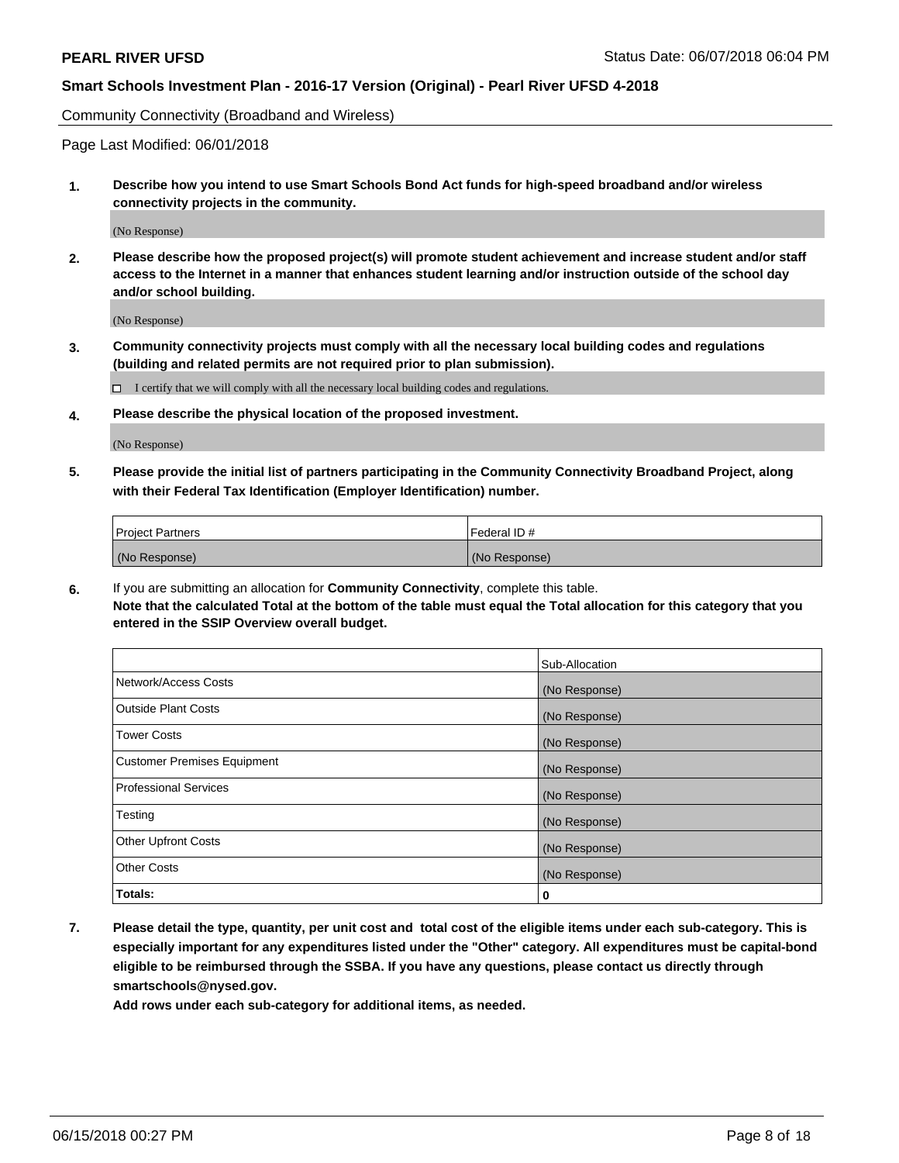Community Connectivity (Broadband and Wireless)

Page Last Modified: 06/01/2018

**1. Describe how you intend to use Smart Schools Bond Act funds for high-speed broadband and/or wireless connectivity projects in the community.**

(No Response)

**2. Please describe how the proposed project(s) will promote student achievement and increase student and/or staff access to the Internet in a manner that enhances student learning and/or instruction outside of the school day and/or school building.**

(No Response)

**3. Community connectivity projects must comply with all the necessary local building codes and regulations (building and related permits are not required prior to plan submission).**

 $\Box$  I certify that we will comply with all the necessary local building codes and regulations.

**4. Please describe the physical location of the proposed investment.**

(No Response)

**5. Please provide the initial list of partners participating in the Community Connectivity Broadband Project, along with their Federal Tax Identification (Employer Identification) number.**

| <b>Project Partners</b> | l Federal ID # |
|-------------------------|----------------|
| (No Response)           | (No Response)  |

**6.** If you are submitting an allocation for **Community Connectivity**, complete this table. **Note that the calculated Total at the bottom of the table must equal the Total allocation for this category that you entered in the SSIP Overview overall budget.**

|                                    | Sub-Allocation |
|------------------------------------|----------------|
| Network/Access Costs               | (No Response)  |
| Outside Plant Costs                | (No Response)  |
| <b>Tower Costs</b>                 | (No Response)  |
| <b>Customer Premises Equipment</b> | (No Response)  |
| Professional Services              | (No Response)  |
| Testing                            | (No Response)  |
| <b>Other Upfront Costs</b>         | (No Response)  |
| <b>Other Costs</b>                 | (No Response)  |
| Totals:                            | 0              |

**7. Please detail the type, quantity, per unit cost and total cost of the eligible items under each sub-category. This is especially important for any expenditures listed under the "Other" category. All expenditures must be capital-bond eligible to be reimbursed through the SSBA. If you have any questions, please contact us directly through smartschools@nysed.gov.**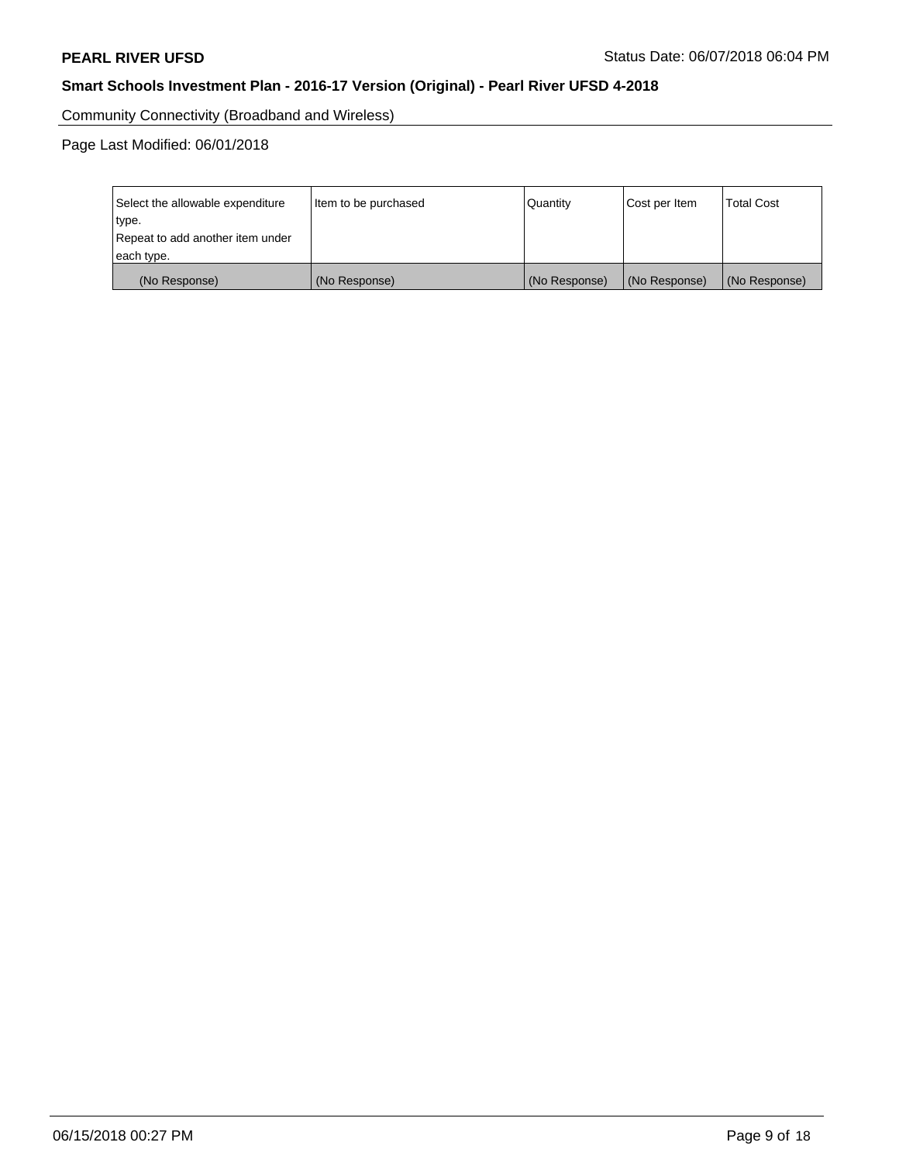Community Connectivity (Broadband and Wireless)

Page Last Modified: 06/01/2018

| Select the allowable expenditure<br>type.<br>Repeat to add another item under | Item to be purchased | Quantity      | Cost per Item | <b>Total Cost</b> |
|-------------------------------------------------------------------------------|----------------------|---------------|---------------|-------------------|
| each type.                                                                    |                      |               |               |                   |
| (No Response)                                                                 | (No Response)        | (No Response) | (No Response) | (No Response)     |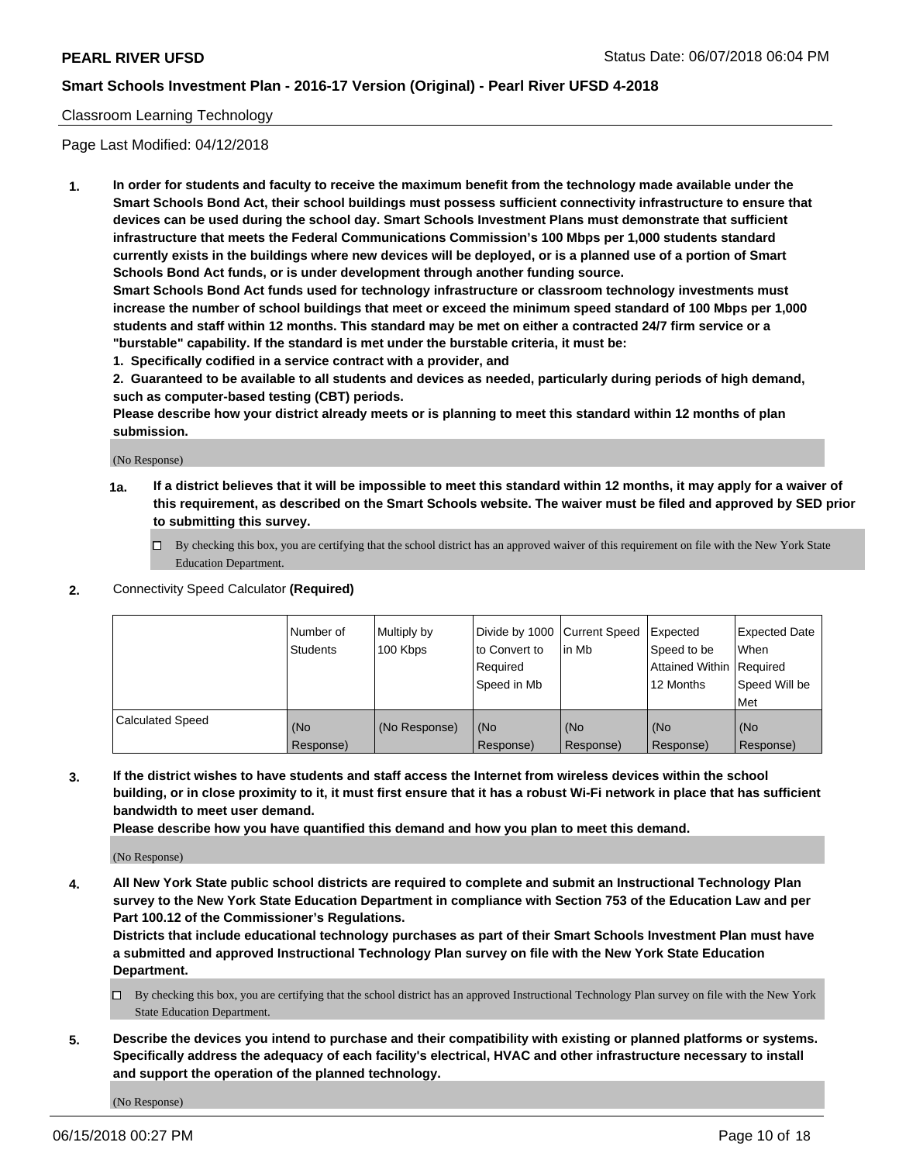### Classroom Learning Technology

Page Last Modified: 04/12/2018

**1. In order for students and faculty to receive the maximum benefit from the technology made available under the Smart Schools Bond Act, their school buildings must possess sufficient connectivity infrastructure to ensure that devices can be used during the school day. Smart Schools Investment Plans must demonstrate that sufficient infrastructure that meets the Federal Communications Commission's 100 Mbps per 1,000 students standard currently exists in the buildings where new devices will be deployed, or is a planned use of a portion of Smart Schools Bond Act funds, or is under development through another funding source.**

**Smart Schools Bond Act funds used for technology infrastructure or classroom technology investments must increase the number of school buildings that meet or exceed the minimum speed standard of 100 Mbps per 1,000 students and staff within 12 months. This standard may be met on either a contracted 24/7 firm service or a "burstable" capability. If the standard is met under the burstable criteria, it must be:**

**1. Specifically codified in a service contract with a provider, and**

**2. Guaranteed to be available to all students and devices as needed, particularly during periods of high demand, such as computer-based testing (CBT) periods.**

**Please describe how your district already meets or is planning to meet this standard within 12 months of plan submission.**

(No Response)

- **1a. If a district believes that it will be impossible to meet this standard within 12 months, it may apply for a waiver of this requirement, as described on the Smart Schools website. The waiver must be filed and approved by SED prior to submitting this survey.**
	- By checking this box, you are certifying that the school district has an approved waiver of this requirement on file with the New York State Education Department.
- **2.** Connectivity Speed Calculator **(Required)**

|                         | l Number of<br><b>Students</b> | Multiply by<br>100 Kbps | Divide by 1000 Current Speed<br>to Convert to<br>Required<br>l Speed in Mb | lin Mb           | Expected<br>Speed to be<br>Attained Within Required<br>12 Months | Expected Date<br>When<br>Speed Will be<br><b>Met</b> |
|-------------------------|--------------------------------|-------------------------|----------------------------------------------------------------------------|------------------|------------------------------------------------------------------|------------------------------------------------------|
| <b>Calculated Speed</b> | (No<br>Response)               | (No Response)           | (No<br>Response)                                                           | (No<br>Response) | (No<br>Response)                                                 | l (No<br>Response)                                   |

**3. If the district wishes to have students and staff access the Internet from wireless devices within the school building, or in close proximity to it, it must first ensure that it has a robust Wi-Fi network in place that has sufficient bandwidth to meet user demand.**

**Please describe how you have quantified this demand and how you plan to meet this demand.**

(No Response)

**4. All New York State public school districts are required to complete and submit an Instructional Technology Plan survey to the New York State Education Department in compliance with Section 753 of the Education Law and per Part 100.12 of the Commissioner's Regulations.**

**Districts that include educational technology purchases as part of their Smart Schools Investment Plan must have a submitted and approved Instructional Technology Plan survey on file with the New York State Education Department.**

- By checking this box, you are certifying that the school district has an approved Instructional Technology Plan survey on file with the New York State Education Department.
- **5. Describe the devices you intend to purchase and their compatibility with existing or planned platforms or systems. Specifically address the adequacy of each facility's electrical, HVAC and other infrastructure necessary to install and support the operation of the planned technology.**

(No Response)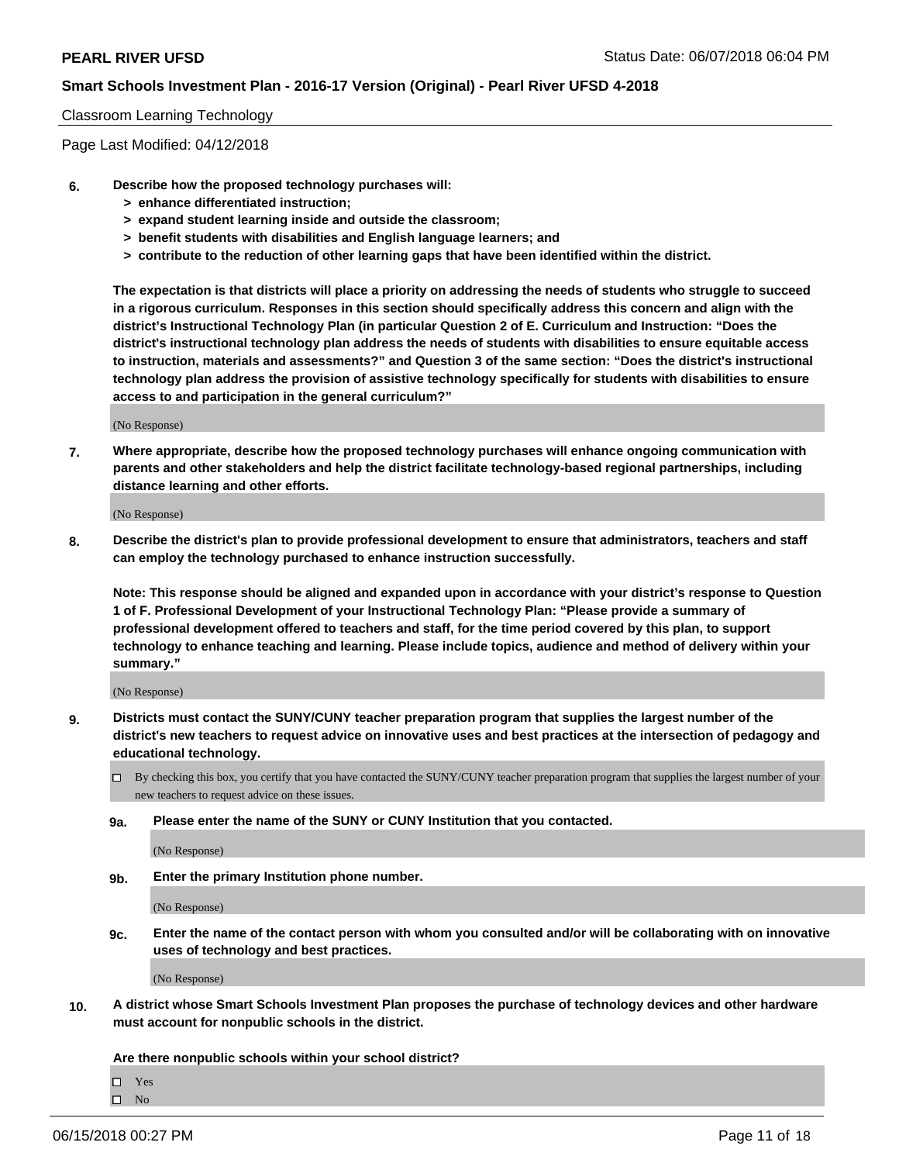#### Classroom Learning Technology

Page Last Modified: 04/12/2018

- **6. Describe how the proposed technology purchases will:**
	- **> enhance differentiated instruction;**
	- **> expand student learning inside and outside the classroom;**
	- **> benefit students with disabilities and English language learners; and**
	- **> contribute to the reduction of other learning gaps that have been identified within the district.**

**The expectation is that districts will place a priority on addressing the needs of students who struggle to succeed in a rigorous curriculum. Responses in this section should specifically address this concern and align with the district's Instructional Technology Plan (in particular Question 2 of E. Curriculum and Instruction: "Does the district's instructional technology plan address the needs of students with disabilities to ensure equitable access to instruction, materials and assessments?" and Question 3 of the same section: "Does the district's instructional technology plan address the provision of assistive technology specifically for students with disabilities to ensure access to and participation in the general curriculum?"**

(No Response)

**7. Where appropriate, describe how the proposed technology purchases will enhance ongoing communication with parents and other stakeholders and help the district facilitate technology-based regional partnerships, including distance learning and other efforts.**

(No Response)

**8. Describe the district's plan to provide professional development to ensure that administrators, teachers and staff can employ the technology purchased to enhance instruction successfully.**

**Note: This response should be aligned and expanded upon in accordance with your district's response to Question 1 of F. Professional Development of your Instructional Technology Plan: "Please provide a summary of professional development offered to teachers and staff, for the time period covered by this plan, to support technology to enhance teaching and learning. Please include topics, audience and method of delivery within your summary."**

(No Response)

- **9. Districts must contact the SUNY/CUNY teacher preparation program that supplies the largest number of the district's new teachers to request advice on innovative uses and best practices at the intersection of pedagogy and educational technology.**
	- By checking this box, you certify that you have contacted the SUNY/CUNY teacher preparation program that supplies the largest number of your new teachers to request advice on these issues.
	- **9a. Please enter the name of the SUNY or CUNY Institution that you contacted.**

(No Response)

**9b. Enter the primary Institution phone number.**

(No Response)

**9c. Enter the name of the contact person with whom you consulted and/or will be collaborating with on innovative uses of technology and best practices.**

(No Response)

**10. A district whose Smart Schools Investment Plan proposes the purchase of technology devices and other hardware must account for nonpublic schools in the district.**

**Are there nonpublic schools within your school district?**

Yes  $\hfill \square$  No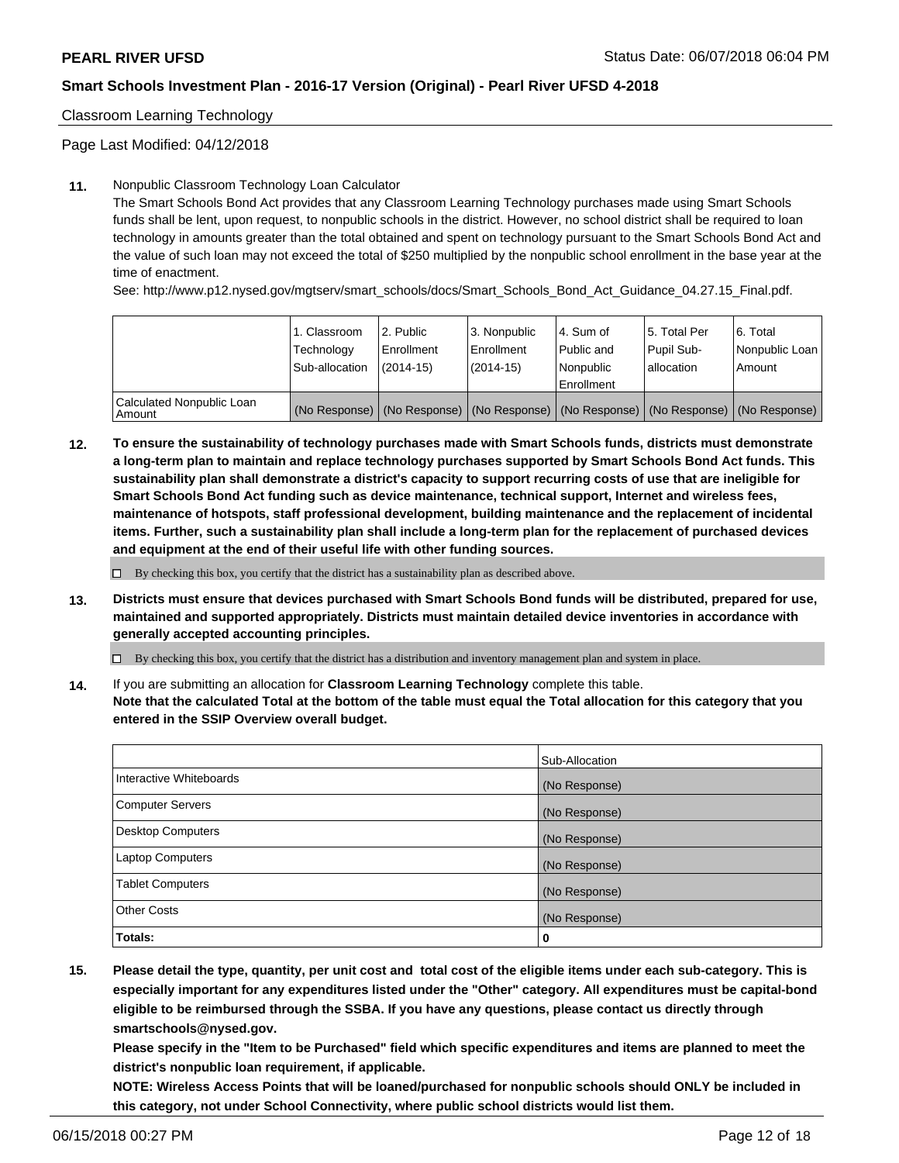Classroom Learning Technology

Page Last Modified: 04/12/2018

### **11.** Nonpublic Classroom Technology Loan Calculator

The Smart Schools Bond Act provides that any Classroom Learning Technology purchases made using Smart Schools funds shall be lent, upon request, to nonpublic schools in the district. However, no school district shall be required to loan technology in amounts greater than the total obtained and spent on technology pursuant to the Smart Schools Bond Act and the value of such loan may not exceed the total of \$250 multiplied by the nonpublic school enrollment in the base year at the time of enactment.

See: http://www.p12.nysed.gov/mgtserv/smart\_schools/docs/Smart\_Schools\_Bond\_Act\_Guidance\_04.27.15\_Final.pdf.

|                                       | 1. Classroom<br>Technology<br>Sub-allocation | l 2. Public<br>Enrollment<br>$(2014 - 15)$ | l 3. Nonpublic<br>Enrollment<br>(2014-15) | 4. Sum of<br>Public and<br>l Nonpublic<br>Enrollment | l 5. Total Per<br>Pupil Sub-<br>lallocation                                                   | l 6. Total<br>Nonpublic Loan<br>Amount |
|---------------------------------------|----------------------------------------------|--------------------------------------------|-------------------------------------------|------------------------------------------------------|-----------------------------------------------------------------------------------------------|----------------------------------------|
| Calculated Nonpublic Loan<br>l Amount |                                              |                                            |                                           |                                                      | (No Response)   (No Response)   (No Response)   (No Response)   (No Response)   (No Response) |                                        |

**12. To ensure the sustainability of technology purchases made with Smart Schools funds, districts must demonstrate a long-term plan to maintain and replace technology purchases supported by Smart Schools Bond Act funds. This sustainability plan shall demonstrate a district's capacity to support recurring costs of use that are ineligible for Smart Schools Bond Act funding such as device maintenance, technical support, Internet and wireless fees, maintenance of hotspots, staff professional development, building maintenance and the replacement of incidental items. Further, such a sustainability plan shall include a long-term plan for the replacement of purchased devices and equipment at the end of their useful life with other funding sources.**

 $\square$  By checking this box, you certify that the district has a sustainability plan as described above.

**13. Districts must ensure that devices purchased with Smart Schools Bond funds will be distributed, prepared for use, maintained and supported appropriately. Districts must maintain detailed device inventories in accordance with generally accepted accounting principles.**

By checking this box, you certify that the district has a distribution and inventory management plan and system in place.

**14.** If you are submitting an allocation for **Classroom Learning Technology** complete this table.

**Note that the calculated Total at the bottom of the table must equal the Total allocation for this category that you entered in the SSIP Overview overall budget.**

|                          | Sub-Allocation |
|--------------------------|----------------|
| Interactive Whiteboards  | (No Response)  |
| <b>Computer Servers</b>  | (No Response)  |
| <b>Desktop Computers</b> | (No Response)  |
| <b>Laptop Computers</b>  | (No Response)  |
| <b>Tablet Computers</b>  | (No Response)  |
| <b>Other Costs</b>       | (No Response)  |
| Totals:                  | 0              |

**15. Please detail the type, quantity, per unit cost and total cost of the eligible items under each sub-category. This is especially important for any expenditures listed under the "Other" category. All expenditures must be capital-bond eligible to be reimbursed through the SSBA. If you have any questions, please contact us directly through smartschools@nysed.gov.**

**Please specify in the "Item to be Purchased" field which specific expenditures and items are planned to meet the district's nonpublic loan requirement, if applicable.**

**NOTE: Wireless Access Points that will be loaned/purchased for nonpublic schools should ONLY be included in this category, not under School Connectivity, where public school districts would list them.**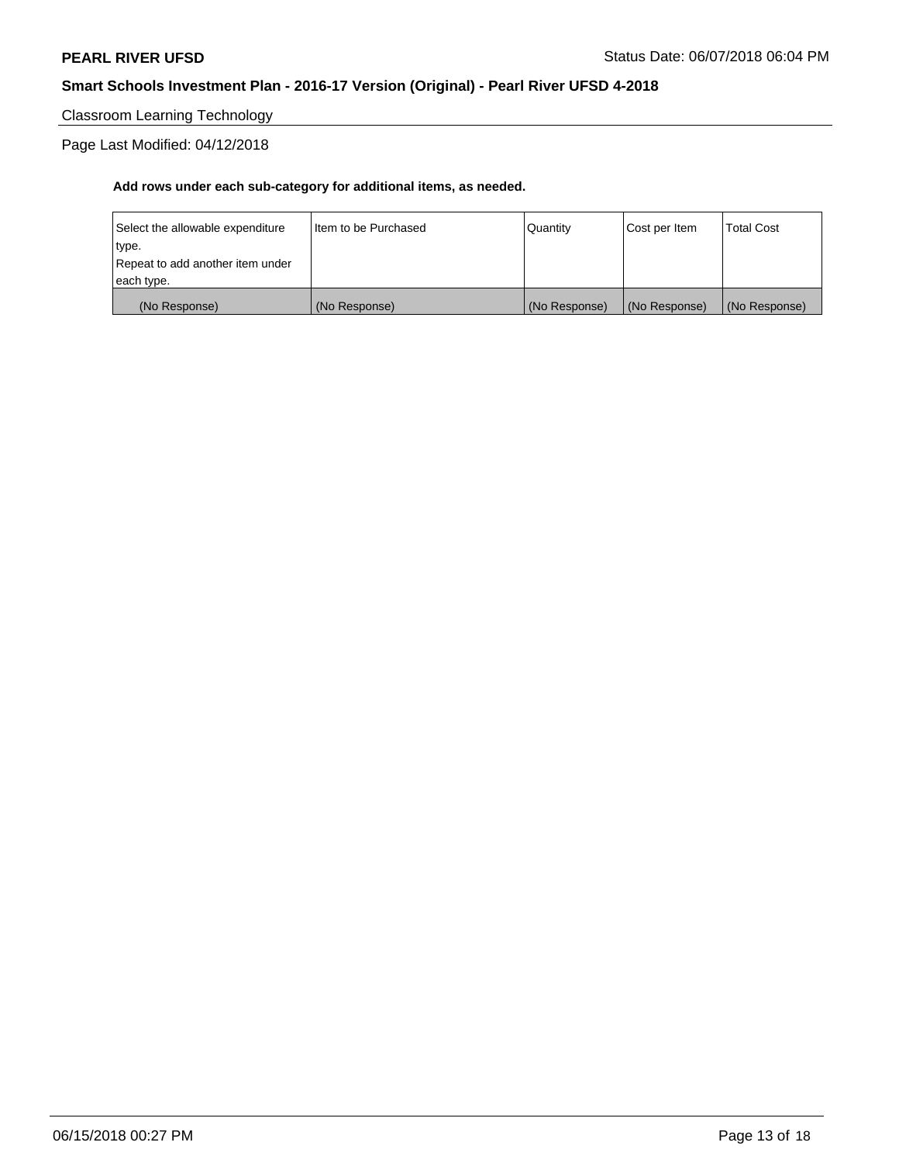Classroom Learning Technology

Page Last Modified: 04/12/2018

| (No Response)                    | (No Response)          | (No Response) | (No Response) | (No Response)     |
|----------------------------------|------------------------|---------------|---------------|-------------------|
| each type.                       |                        |               |               |                   |
| Repeat to add another item under |                        |               |               |                   |
| type.                            |                        |               |               |                   |
| Select the allowable expenditure | I Item to be Purchased | Quantity      | Cost per Item | <b>Total Cost</b> |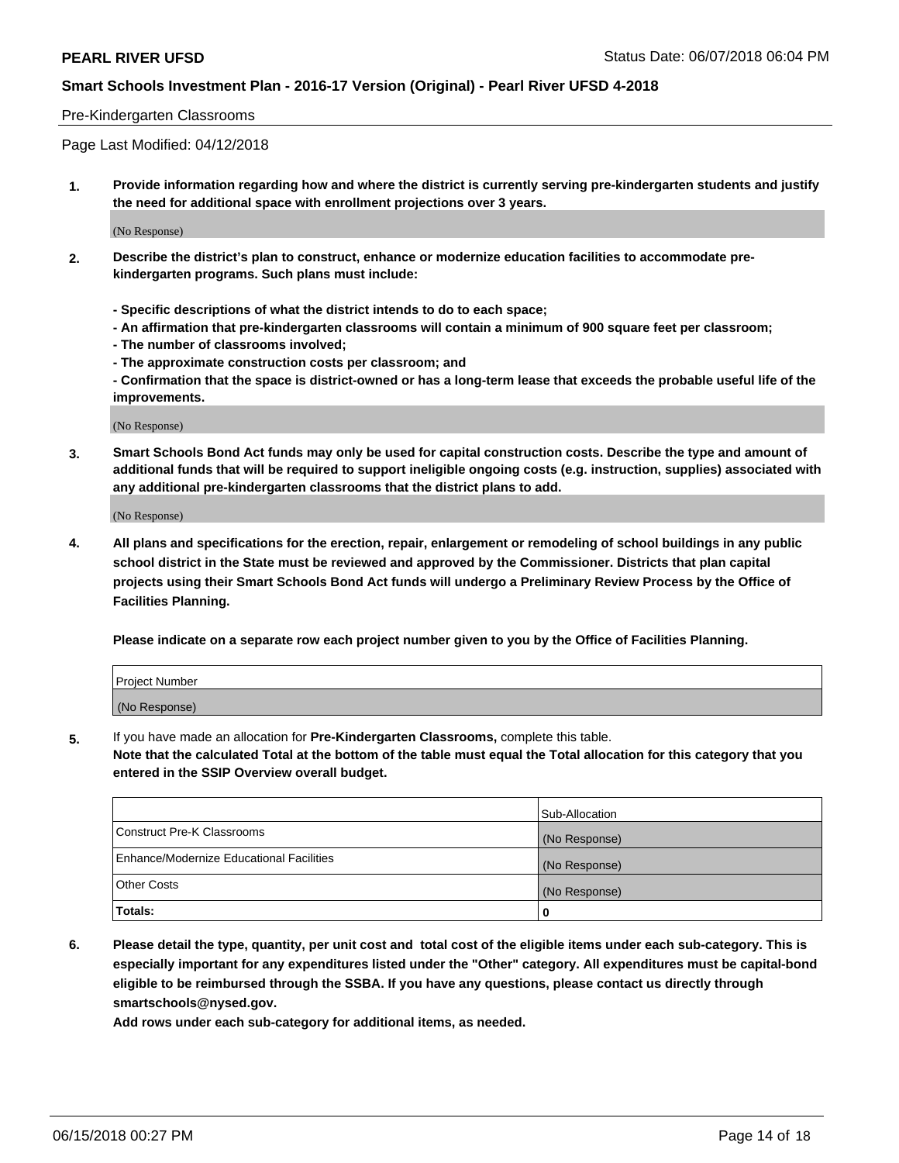#### Pre-Kindergarten Classrooms

Page Last Modified: 04/12/2018

**1. Provide information regarding how and where the district is currently serving pre-kindergarten students and justify the need for additional space with enrollment projections over 3 years.**

(No Response)

- **2. Describe the district's plan to construct, enhance or modernize education facilities to accommodate prekindergarten programs. Such plans must include:**
	- **Specific descriptions of what the district intends to do to each space;**
	- **An affirmation that pre-kindergarten classrooms will contain a minimum of 900 square feet per classroom;**
	- **The number of classrooms involved;**
	- **The approximate construction costs per classroom; and**
	- **Confirmation that the space is district-owned or has a long-term lease that exceeds the probable useful life of the improvements.**

(No Response)

**3. Smart Schools Bond Act funds may only be used for capital construction costs. Describe the type and amount of additional funds that will be required to support ineligible ongoing costs (e.g. instruction, supplies) associated with any additional pre-kindergarten classrooms that the district plans to add.**

(No Response)

**4. All plans and specifications for the erection, repair, enlargement or remodeling of school buildings in any public school district in the State must be reviewed and approved by the Commissioner. Districts that plan capital projects using their Smart Schools Bond Act funds will undergo a Preliminary Review Process by the Office of Facilities Planning.**

**Please indicate on a separate row each project number given to you by the Office of Facilities Planning.**

| <b>Project Number</b> |  |
|-----------------------|--|
| (No Response)         |  |

**5.** If you have made an allocation for **Pre-Kindergarten Classrooms,** complete this table.

**Note that the calculated Total at the bottom of the table must equal the Total allocation for this category that you entered in the SSIP Overview overall budget.**

|                                          | Sub-Allocation |
|------------------------------------------|----------------|
| Construct Pre-K Classrooms               | (No Response)  |
| Enhance/Modernize Educational Facilities | (No Response)  |
| Other Costs                              | (No Response)  |
| Totals:                                  | 0              |

**6. Please detail the type, quantity, per unit cost and total cost of the eligible items under each sub-category. This is especially important for any expenditures listed under the "Other" category. All expenditures must be capital-bond eligible to be reimbursed through the SSBA. If you have any questions, please contact us directly through smartschools@nysed.gov.**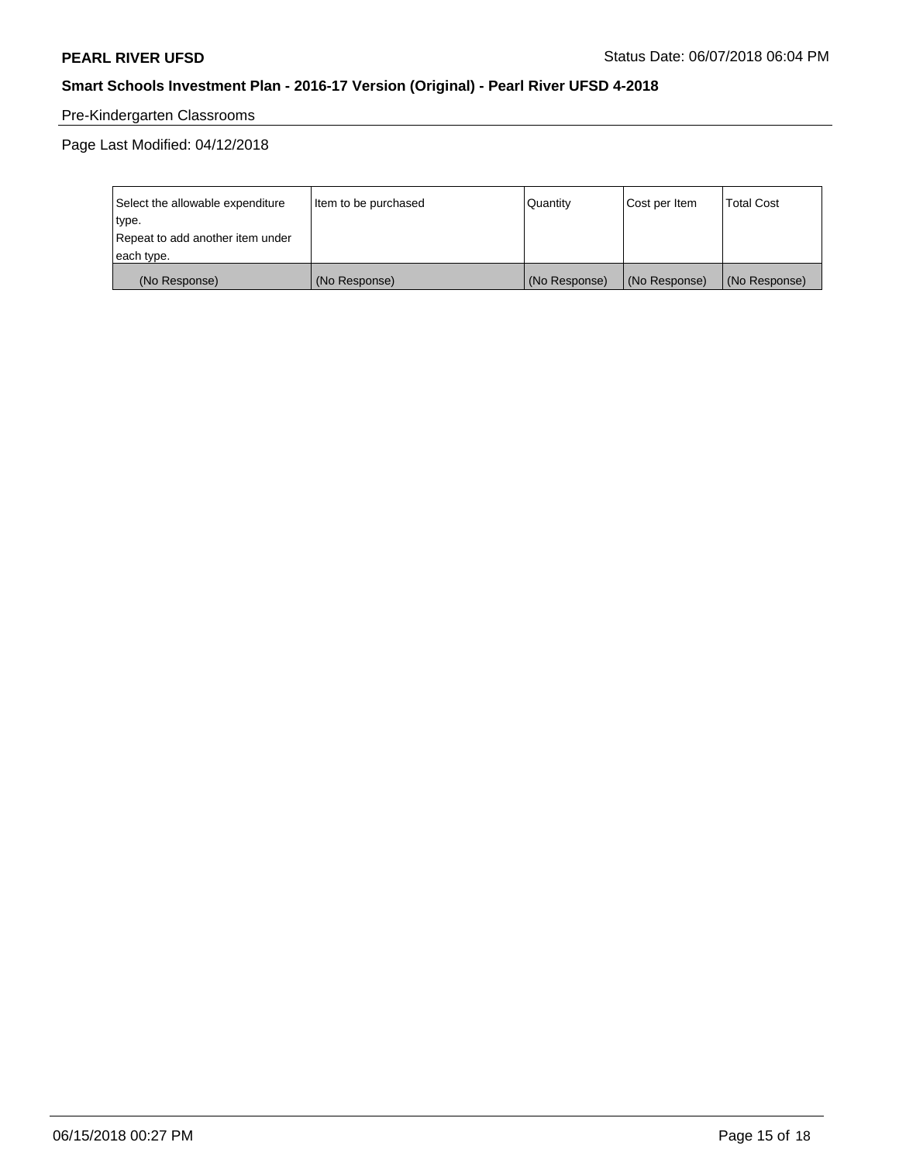## Pre-Kindergarten Classrooms

Page Last Modified: 04/12/2018

| Select the allowable expenditure | Item to be purchased | Quantity      | Cost per Item | <b>Total Cost</b> |
|----------------------------------|----------------------|---------------|---------------|-------------------|
| type.                            |                      |               |               |                   |
| Repeat to add another item under |                      |               |               |                   |
| each type.                       |                      |               |               |                   |
| (No Response)                    | (No Response)        | (No Response) | (No Response) | (No Response)     |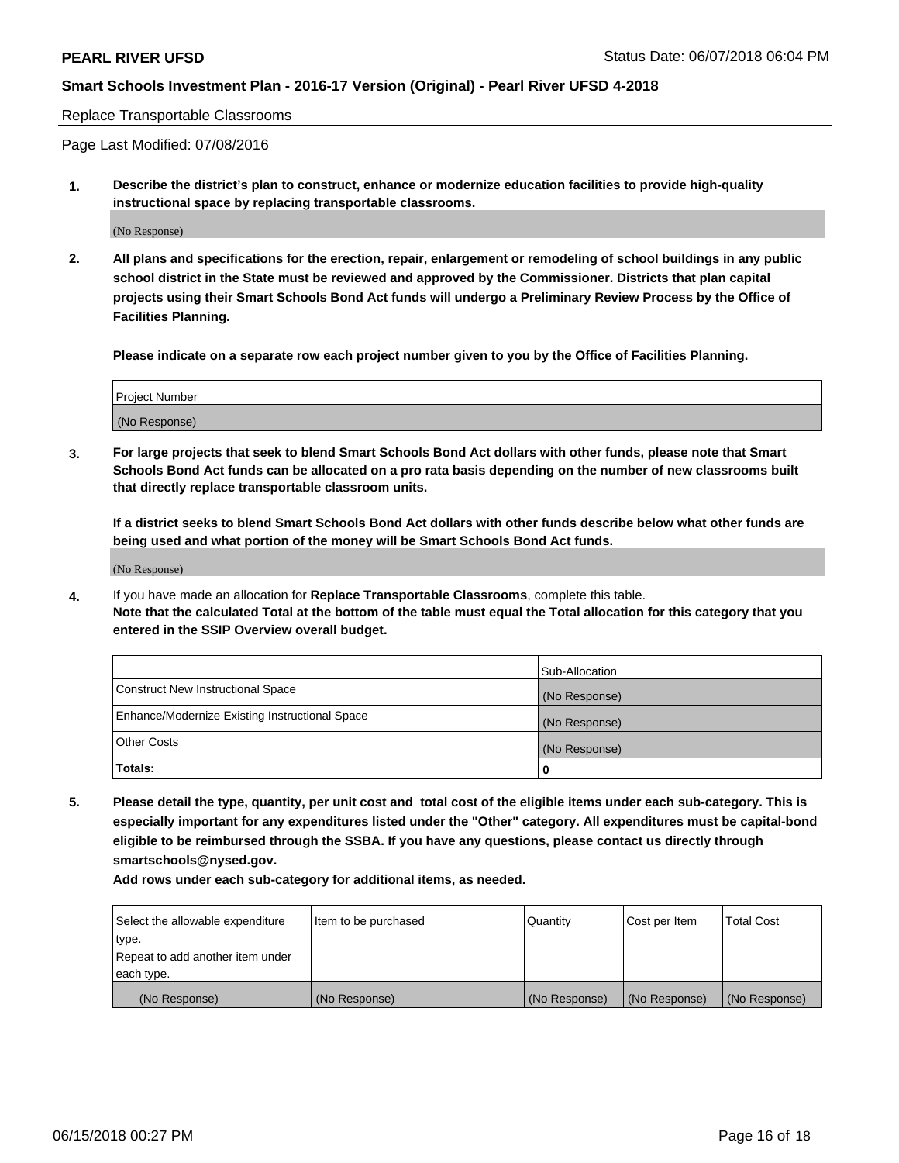Replace Transportable Classrooms

Page Last Modified: 07/08/2016

**1. Describe the district's plan to construct, enhance or modernize education facilities to provide high-quality instructional space by replacing transportable classrooms.**

(No Response)

**2. All plans and specifications for the erection, repair, enlargement or remodeling of school buildings in any public school district in the State must be reviewed and approved by the Commissioner. Districts that plan capital projects using their Smart Schools Bond Act funds will undergo a Preliminary Review Process by the Office of Facilities Planning.**

**Please indicate on a separate row each project number given to you by the Office of Facilities Planning.**

| Project Number |  |
|----------------|--|
| (No Response)  |  |

**3. For large projects that seek to blend Smart Schools Bond Act dollars with other funds, please note that Smart Schools Bond Act funds can be allocated on a pro rata basis depending on the number of new classrooms built that directly replace transportable classroom units.**

**If a district seeks to blend Smart Schools Bond Act dollars with other funds describe below what other funds are being used and what portion of the money will be Smart Schools Bond Act funds.**

(No Response)

**4.** If you have made an allocation for **Replace Transportable Classrooms**, complete this table. **Note that the calculated Total at the bottom of the table must equal the Total allocation for this category that you entered in the SSIP Overview overall budget.**

|                                                | Sub-Allocation |
|------------------------------------------------|----------------|
| Construct New Instructional Space              | (No Response)  |
| Enhance/Modernize Existing Instructional Space | (No Response)  |
| Other Costs                                    | (No Response)  |
| Totals:                                        | 0              |

**5. Please detail the type, quantity, per unit cost and total cost of the eligible items under each sub-category. This is especially important for any expenditures listed under the "Other" category. All expenditures must be capital-bond eligible to be reimbursed through the SSBA. If you have any questions, please contact us directly through smartschools@nysed.gov.**

| Select the allowable expenditure | Item to be purchased | Quantity      | Cost per Item | <b>Total Cost</b> |
|----------------------------------|----------------------|---------------|---------------|-------------------|
| type.                            |                      |               |               |                   |
| Repeat to add another item under |                      |               |               |                   |
| each type.                       |                      |               |               |                   |
| (No Response)                    | (No Response)        | (No Response) | (No Response) | (No Response)     |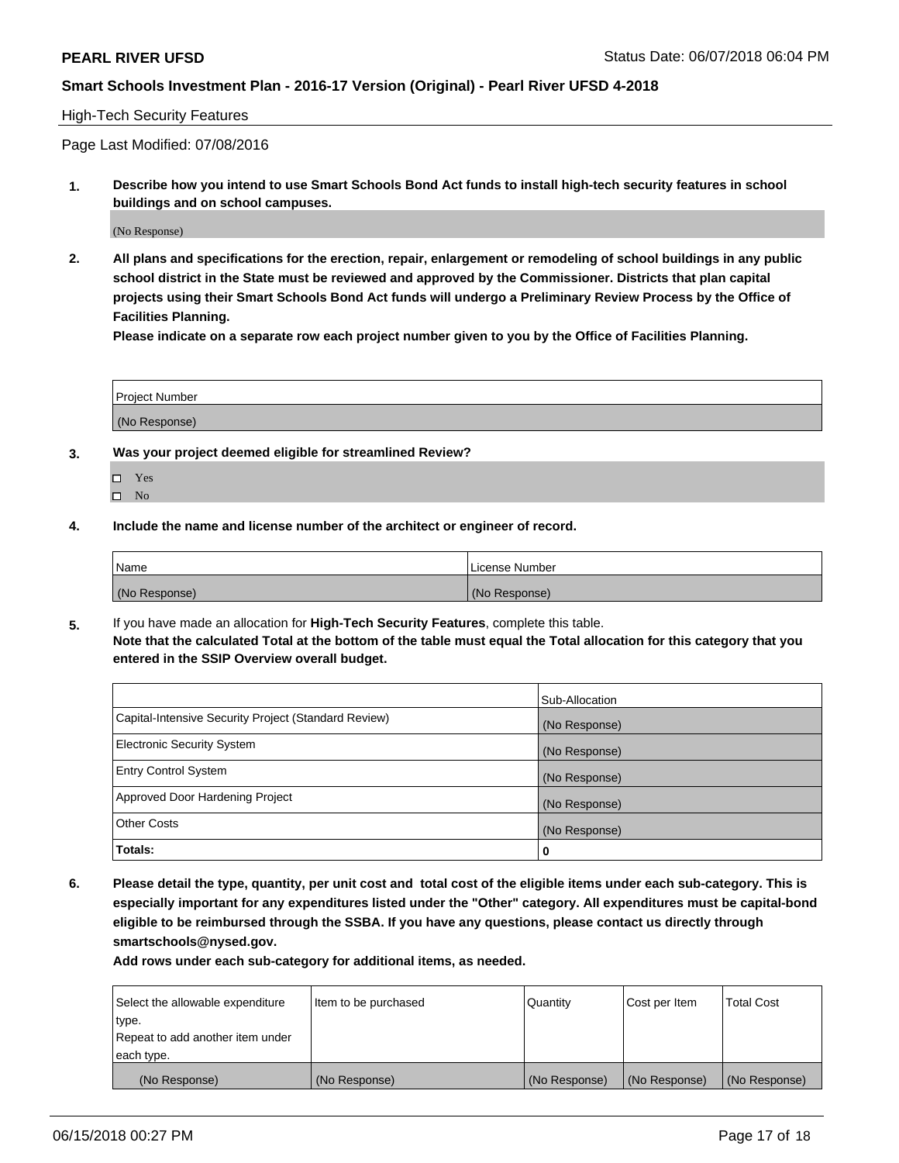#### High-Tech Security Features

Page Last Modified: 07/08/2016

**1. Describe how you intend to use Smart Schools Bond Act funds to install high-tech security features in school buildings and on school campuses.**

(No Response)

**2. All plans and specifications for the erection, repair, enlargement or remodeling of school buildings in any public school district in the State must be reviewed and approved by the Commissioner. Districts that plan capital projects using their Smart Schools Bond Act funds will undergo a Preliminary Review Process by the Office of Facilities Planning.** 

**Please indicate on a separate row each project number given to you by the Office of Facilities Planning.**

| <b>Project Number</b> |  |  |
|-----------------------|--|--|
|                       |  |  |
| (No Response)         |  |  |

- **3. Was your project deemed eligible for streamlined Review?**
	- Yes  $\square$  No
- **4. Include the name and license number of the architect or engineer of record.**

| Name          | License Number |
|---------------|----------------|
| (No Response) | (No Response)  |

**5.** If you have made an allocation for **High-Tech Security Features**, complete this table. **Note that the calculated Total at the bottom of the table must equal the Total allocation for this category that you entered in the SSIP Overview overall budget.**

|                                                      | Sub-Allocation |
|------------------------------------------------------|----------------|
| Capital-Intensive Security Project (Standard Review) | (No Response)  |
| <b>Electronic Security System</b>                    | (No Response)  |
| <b>Entry Control System</b>                          | (No Response)  |
| Approved Door Hardening Project                      | (No Response)  |
| <b>Other Costs</b>                                   | (No Response)  |
| Totals:                                              | 0              |

**6. Please detail the type, quantity, per unit cost and total cost of the eligible items under each sub-category. This is especially important for any expenditures listed under the "Other" category. All expenditures must be capital-bond eligible to be reimbursed through the SSBA. If you have any questions, please contact us directly through smartschools@nysed.gov.**

| Select the allowable expenditure | Item to be purchased | Quantity      | Cost per Item | <b>Total Cost</b> |
|----------------------------------|----------------------|---------------|---------------|-------------------|
| type.                            |                      |               |               |                   |
| Repeat to add another item under |                      |               |               |                   |
| each type.                       |                      |               |               |                   |
| (No Response)                    | (No Response)        | (No Response) | (No Response) | (No Response)     |